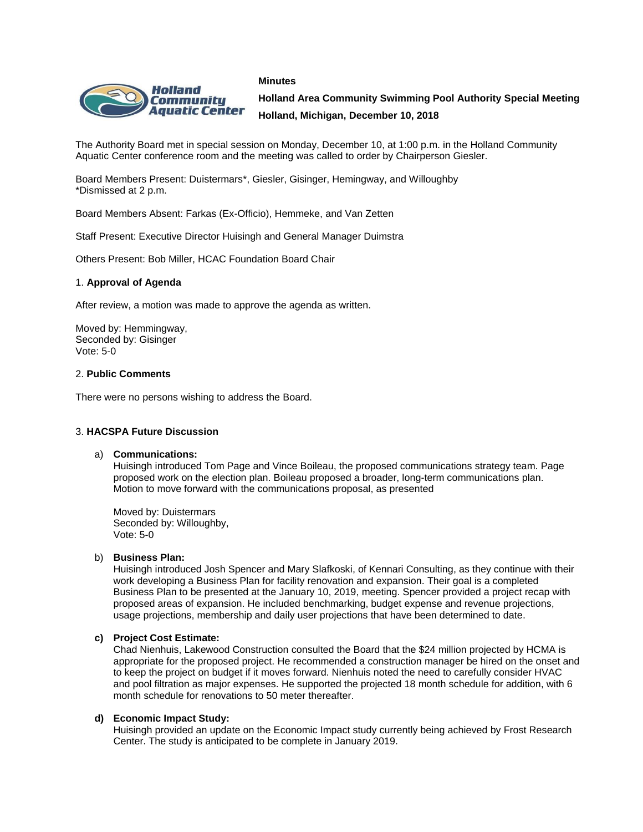## **Minutes**



**Holland Area Community Swimming Pool Authority Special Meeting Holland, Michigan, December 10, 2018**

The Authority Board met in special session on Monday, December 10, at 1:00 p.m. in the Holland Community Aquatic Center conference room and the meeting was called to order by Chairperson Giesler.

Board Members Present: Duistermars\*, Giesler, Gisinger, Hemingway, and Willoughby \*Dismissed at 2 p.m.

Board Members Absent: Farkas (Ex-Officio), Hemmeke, and Van Zetten

Staff Present: Executive Director Huisingh and General Manager Duimstra

Others Present: Bob Miller, HCAC Foundation Board Chair

## 1. **Approval of Agenda**

After review, a motion was made to approve the agenda as written.

Moved by: Hemmingway, Seconded by: Gisinger Vote: 5-0

## 2. **Public Comments**

There were no persons wishing to address the Board.

# 3. **HACSPA Future Discussion**

#### a) **Communications:**

Huisingh introduced Tom Page and Vince Boileau, the proposed communications strategy team. Page proposed work on the election plan. Boileau proposed a broader, long-term communications plan. Motion to move forward with the communications proposal, as presented

Moved by: Duistermars Seconded by: Willoughby, Vote: 5-0

#### b) **Business Plan:**

Huisingh introduced Josh Spencer and Mary Slafkoski, of Kennari Consulting, as they continue with their work developing a Business Plan for facility renovation and expansion. Their goal is a completed Business Plan to be presented at the January 10, 2019, meeting. Spencer provided a project recap with proposed areas of expansion. He included benchmarking, budget expense and revenue projections, usage projections, membership and daily user projections that have been determined to date.

# **c) Project Cost Estimate:**

Chad Nienhuis, Lakewood Construction consulted the Board that the \$24 million projected by HCMA is appropriate for the proposed project. He recommended a construction manager be hired on the onset and to keep the project on budget if it moves forward. Nienhuis noted the need to carefully consider HVAC and pool filtration as major expenses. He supported the projected 18 month schedule for addition, with 6 month schedule for renovations to 50 meter thereafter.

# **d) Economic Impact Study:**

Huisingh provided an update on the Economic Impact study currently being achieved by Frost Research Center. The study is anticipated to be complete in January 2019.